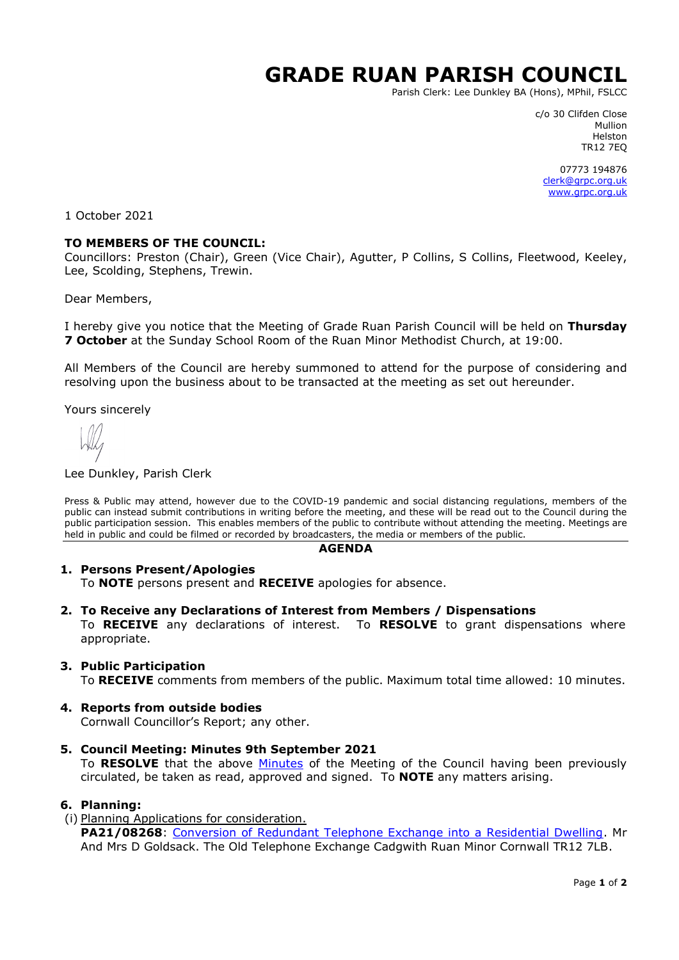# **GRADE RUAN PARISH COUNCIL**

Parish Clerk: Lee Dunkley BA (Hons), MPhil, FSLCC

c/o 30 Clifden Close Mullion Helston TR12 7EQ

07773 194876 [clerk@grpc.org.uk](mailto:clerk@grpc.org.uk) [www.grpc.org.uk](http://www.grpc.org.uk/)

1 October 2021

## **TO MEMBERS OF THE COUNCIL:**

Councillors: Preston (Chair), Green (Vice Chair), Agutter, P Collins, S Collins, Fleetwood, Keeley, Lee, Scolding, Stephens, Trewin.

Dear Members,

I hereby give you notice that the Meeting of Grade Ruan Parish Council will be held on **Thursday 7 October** at the Sunday School Room of the Ruan Minor Methodist Church, at 19:00.

All Members of the Council are hereby summoned to attend for the purpose of considering and resolving upon the business about to be transacted at the meeting as set out hereunder.

Yours sincerely

#### Lee Dunkley, Parish Clerk

Press & Public may attend, however due to the COVID-19 pandemic and social distancing regulations, members of the public can instead submit contributions in writing before the meeting, and these will be read out to the Council during the public participation session. This enables members of the public to contribute without attending the meeting. Meetings are held in public and could be filmed or recorded by broadcasters, the media or members of the public.

#### **AGENDA**

## **1. Persons Present/Apologies**

To **NOTE** persons present and **RECEIVE** apologies for absence.

#### **2. To Receive any Declarations of Interest from Members / Dispensations**

To **RECEIVE** any declarations of interest. To **RESOLVE** to grant dispensations where appropriate.

## **3. Public Participation**

To **RECEIVE** comments from members of the public. Maximum total time allowed: 10 minutes.

## **4. Reports from outside bodies**

Cornwall Councillor's Report; any other.

**5. Council Meeting: Minutes 9th September 2021**

To **RESOLVE** that the above [Minutes](https://www.grpc.org.uk/files/6916/3128/0319/Minutes_9_Spetember_2021_DRAFT.pdf) of the Meeting of the Council having been previously circulated, be taken as read, approved and signed. To **NOTE** any matters arising.

## **6. Planning:**

## (i) Planning Applications for consideration.

PA21/08268: [Conversion of Redundant Telephone Exchange into a Residential Dwelling.](https://planning.cornwall.gov.uk/online-applications/applicationDetails.do?activeTab=documents&keyVal=QXRX90FGFOB00&prevPage=inTray) Mr And Mrs D Goldsack. The Old Telephone Exchange Cadgwith Ruan Minor Cornwall TR12 7LB.